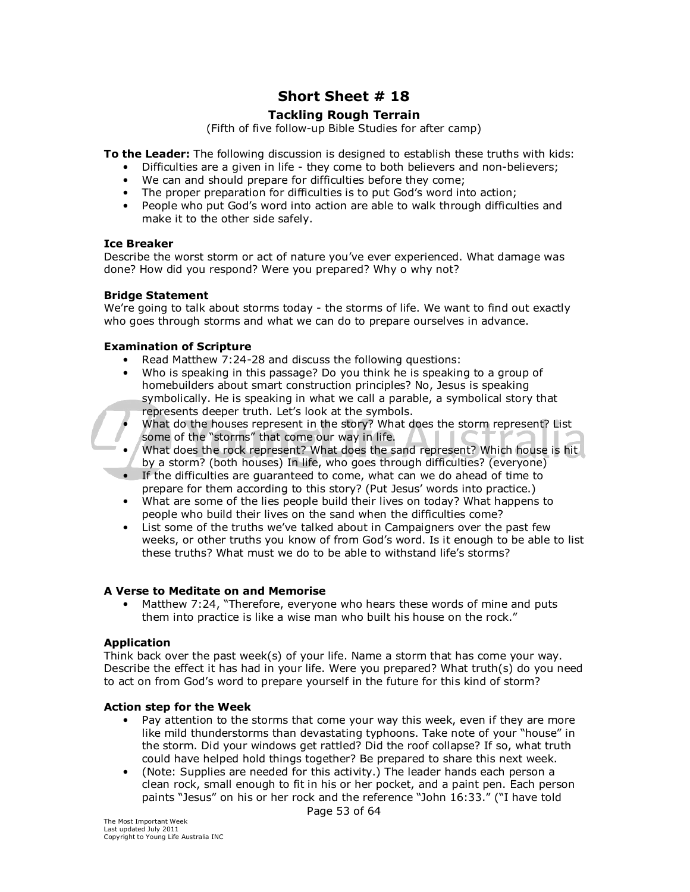# **Short Sheet # 18**

# **Tackling Rough Terrain**

(Fifth of five follow-up Bible Studies for after camp)

**To the Leader:** The following discussion is designed to establish these truths with kids:

- Difficulties are a given in life they come to both believers and non-believers;
- We can and should prepare for difficulties before they come;
- The proper preparation for difficulties is to put God's word into action;
- People who put God's word into action are able to walk through difficulties and make it to the other side safely.

#### **Ice Breaker**

Describe the worst storm or act of nature you've ever experienced. What damage was done? How did you respond? Were you prepared? Why o why not?

#### **Bridge Statement**

We're going to talk about storms today - the storms of life. We want to find out exactly who goes through storms and what we can do to prepare ourselves in advance.

#### **Examination of Scripture**

- Read Matthew 7:24-28 and discuss the following questions:
- Who is speaking in this passage? Do you think he is speaking to a group of homebuilders about smart construction principles? No, Jesus is speaking symbolically. He is speaking in what we call a parable, a symbolical story that represents deeper truth. Let's look at the symbols.
	- What do the houses represent in the story? What does the storm represent? List some of the "storms" that come our way in life.
- What does the rock represent? What does the sand represent? Which house is hit by a storm? (both houses) In life, who goes through difficulties? (everyone)
- If the difficulties are guaranteed to come, what can we do ahead of time to prepare for them according to this story? (Put Jesus' words into practice.)
- What are some of the lies people build their lives on today? What happens to people who build their lives on the sand when the difficulties come?
- List some of the truths we've talked about in Campaigners over the past few weeks, or other truths you know of from God's word. Is it enough to be able to list these truths? What must we do to be able to withstand life's storms?

## **A Verse to Meditate on and Memorise**

Matthew 7:24, "Therefore, everyone who hears these words of mine and puts them into practice is like a wise man who built his house on the rock."

## **Application**

Think back over the past week(s) of your life. Name a storm that has come your way. Describe the effect it has had in your life. Were you prepared? What truth(s) do you need to act on from God's word to prepare yourself in the future for this kind of storm?

#### **Action step for the Week**

- Pay attention to the storms that come your way this week, even if they are more like mild thunderstorms than devastating typhoons. Take note of your "house" in the storm. Did your windows get rattled? Did the roof collapse? If so, what truth could have helped hold things together? Be prepared to share this next week.
- (Note: Supplies are needed for this activity.) The leader hands each person a clean rock, small enough to fit in his or her pocket, and a paint pen. Each person paints "Jesus" on his or her rock and the reference "John 16:33." ("I have told